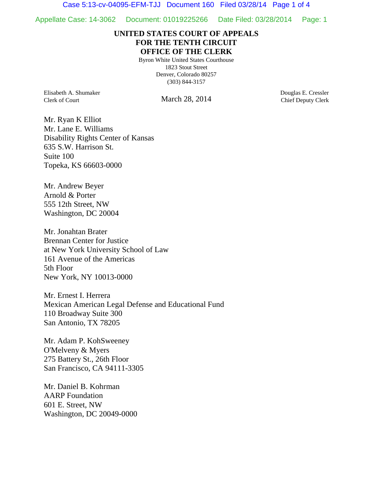Case 5:13-cv-04095-EFM-TJJ Document 160 Filed 03/28/14 Page 1 of 4

Appellate Case: 14-3062 Document: 01019225266 Date Filed: 03/28/2014 Page: 1

## **UNITED STATES COURT OF APPEALS FOR THE TENTH CIRCUIT OFFICE OF THE CLERK**

Byron White United States Courthouse 1823 Stout Street Denver, Colorado 80257 (303) 844-3157

Elisabeth A. Shumaker Clerk of Court

March 28, 2014

Douglas E. Cressler Chief Deputy Clerk

Mr. Ryan K Elliot Mr. Lane E. Williams Disability Rights Center of Kansas 635 S.W. Harrison St. Suite 100 Topeka, KS 66603-0000

Mr. Andrew Beyer Arnold & Porter 555 12th Street, NW Washington, DC 20004

Mr. Jonahtan Brater Brennan Center for Justice at New York University School of Law 161 Avenue of the Americas 5th Floor New York, NY 10013-0000

Mr. Ernest I. Herrera Mexican American Legal Defense and Educational Fund 110 Broadway Suite 300 San Antonio, TX 78205

Mr. Adam P. KohSweeney O'Melveny & Myers 275 Battery St., 26th Floor San Francisco, CA 94111-3305

Mr. Daniel B. Kohrman AARP Foundation 601 E. Street, NW Washington, DC 20049-0000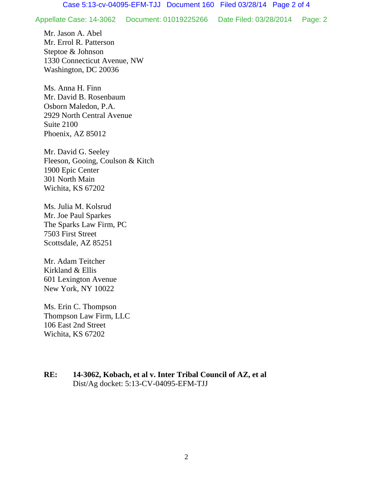Appellate Case: 14-3062 Document: 01019225266 Date Filed: 03/28/2014 Page: 2

Mr. Jason A. Abel Mr. Errol R. Patterson Steptoe & Johnson 1330 Connecticut Avenue, NW Washington, DC 20036

Ms. Anna H. Finn Mr. David B. Rosenbaum Osborn Maledon, P.A. 2929 North Central Avenue Suite 2100 Phoenix, AZ 85012

Mr. David G. Seeley Fleeson, Gooing, Coulson & Kitch 1900 Epic Center 301 North Main Wichita, KS 67202

Ms. Julia M. Kolsrud Mr. Joe Paul Sparkes The Sparks Law Firm, PC 7503 First Street Scottsdale, AZ 85251

Mr. Adam Teitcher Kirkland & Ellis 601 Lexington Avenue New York, NY 10022

Ms. Erin C. Thompson Thompson Law Firm, LLC 106 East 2nd Street Wichita, KS 67202

**RE: 14-3062, Kobach, et al v. Inter Tribal Council of AZ, et al** Dist/Ag docket: 5:13-CV-04095-EFM-TJJ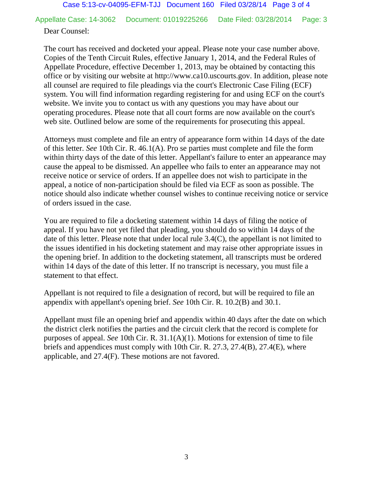Appellate Case: 14-3062 Document: 01019225266 Date Filed: 03/28/2014 Page: 3

## Dear Counsel:

The court has received and docketed your appeal. Please note your case number above. Copies of the Tenth Circuit Rules, effective January 1, 2014, and the Federal Rules of Appellate Procedure, effective December 1, 2013, may be obtained by contacting this office or by visiting our website at http://www.ca10.uscourts.gov. In addition, please note all counsel are required to file pleadings via the court's Electronic Case Filing (ECF) system. You will find information regarding registering for and using ECF on the court's website. We invite you to contact us with any questions you may have about our operating procedures. Please note that all court forms are now available on the court's web site. Outlined below are some of the requirements for prosecuting this appeal.

Attorneys must complete and file an entry of appearance form within 14 days of the date of this letter. *See* 10th Cir. R. 46.1(A). Pro se parties must complete and file the form within thirty days of the date of this letter. Appellant's failure to enter an appearance may cause the appeal to be dismissed. An appellee who fails to enter an appearance may not receive notice or service of orders. If an appellee does not wish to participate in the appeal, a notice of non-participation should be filed via ECF as soon as possible. The notice should also indicate whether counsel wishes to continue receiving notice or service of orders issued in the case.

You are required to file a docketing statement within 14 days of filing the notice of appeal. If you have not yet filed that pleading, you should do so within 14 days of the date of this letter. Please note that under local rule 3.4(C), the appellant is not limited to the issues identified in his docketing statement and may raise other appropriate issues in the opening brief. In addition to the docketing statement, all transcripts must be ordered within 14 days of the date of this letter. If no transcript is necessary, you must file a statement to that effect.

Appellant is not required to file a designation of record, but will be required to file an appendix with appellant's opening brief. *See* 10th Cir. R. 10.2(B) and 30.1.

Appellant must file an opening brief and appendix within 40 days after the date on which the district clerk notifies the parties and the circuit clerk that the record is complete for purposes of appeal. *See* 10th Cir. R. 31.1(A)(1). Motions for extension of time to file briefs and appendices must comply with 10th Cir. R. 27.3, 27.4(B), 27.4(E), where applicable, and 27.4(F). These motions are not favored.